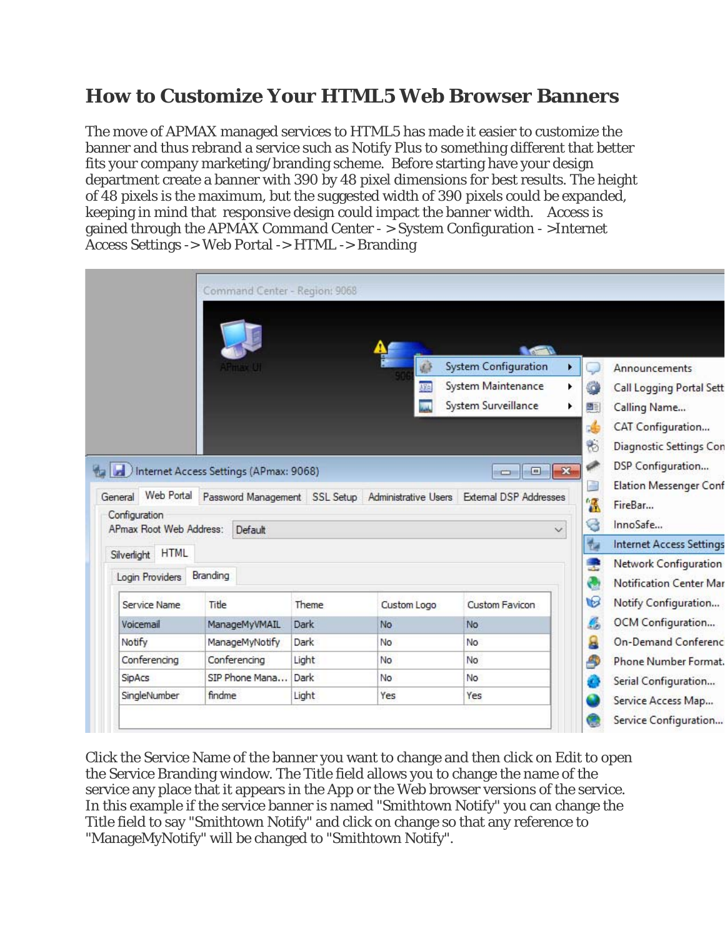## **How to Customize Your HTML5 Web Browser Banners**

The move of APMAX managed services to HTML5 has made it easier to customize the banner and thus rebrand a service such as Notify Plus to something different that better fits your company marketing/branding scheme. Before starting have your design department create a banner with 390 by 48 pixel dimensions for best results. The height of 48 pixels is the maximum, but the suggested width of 390 pixels could be expanded, keeping in mind that responsive design could impact the banner width. Access is gained through the APMAX Command Center - > System Configuration - >Internet Access Settings -> Web Portal -> HTML -> Branding



Click the Service Name of the banner you want to change and then click on Edit to open the Service Branding window. The Title field allows you to change the name of the service any place that it appears in the App or the Web browser versions of the service. In this example if the service banner is named "Smithtown Notify" you can change the Title field to say "Smithtown Notify" and click on change so that any reference to "ManageMyNotify" will be changed to "Smithtown Notify".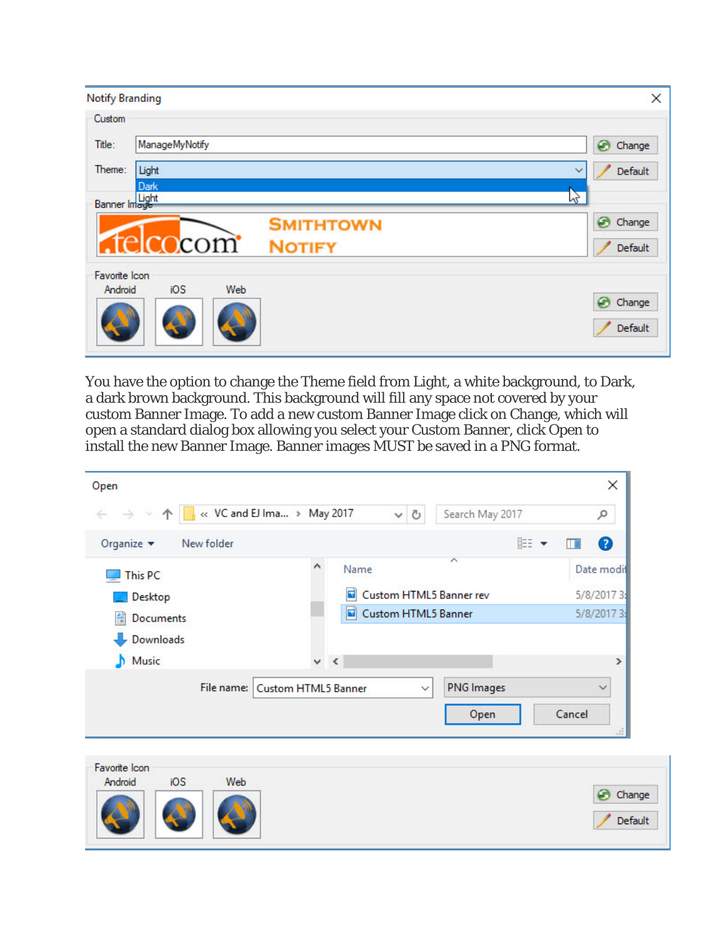| <b>Notify Branding</b>   |                                               | ×                            |
|--------------------------|-----------------------------------------------|------------------------------|
| Custom                   |                                               |                              |
| Title:                   | ManageMyNotify                                | ⊛<br>Change                  |
| Theme:                   | Light<br>Dark                                 | Default                      |
| Banner Image             | <b>SMITHTOWN</b><br>telcocom<br><b>NOTIFY</b> | hz<br>⊛<br>Change<br>Default |
| Favorite Icon<br>Android | iOS<br>Web                                    | ⊛<br>Change<br>Default       |

You have the option to change the Theme field from Light, a white background, to Dark, a dark brown background. This background will fill any space not covered by your custom Banner Image. To add a new custom Banner Image click on Change, which will open a standard dialog box allowing you select your Custom Banner, click Open to install the new Banner Image. Banner images MUST be saved in a PNG format.

| -98<br>$\uparrow$<br>$\leftarrow$ $\rightarrow$ | $\frac{1}{2}$ « VC and EJ Ima > May 2017<br>$\circ$<br>$\checkmark$ | Search May 2017   | ۹              |
|-------------------------------------------------|---------------------------------------------------------------------|-------------------|----------------|
| Organize $\blacktriangleright$<br>New folder    |                                                                     |                   | ⊪: ▼<br>0<br>ш |
| This PC                                         | ∧<br>Name                                                           | ㅅ                 | Date modif     |
| Desktop                                         | $\blacksquare$<br>Custom HTML5 Banner rev                           |                   | 5/8/2017 3:    |
| 傽<br>Documents                                  | <b>Custom HTML5 Banner</b><br>ø                                     |                   | 5/8/2017 3:    |
| Downloads                                       |                                                                     |                   |                |
|                                                 |                                                                     |                   |                |
| Music                                           | $\times$                                                            |                   | ⋗              |
| File name:                                      | <b>Custom HTML5 Banner</b><br>$\checkmark$                          | <b>PNG</b> Images | $\checkmark$   |
|                                                 |                                                                     | Open              | Cancel         |

Default